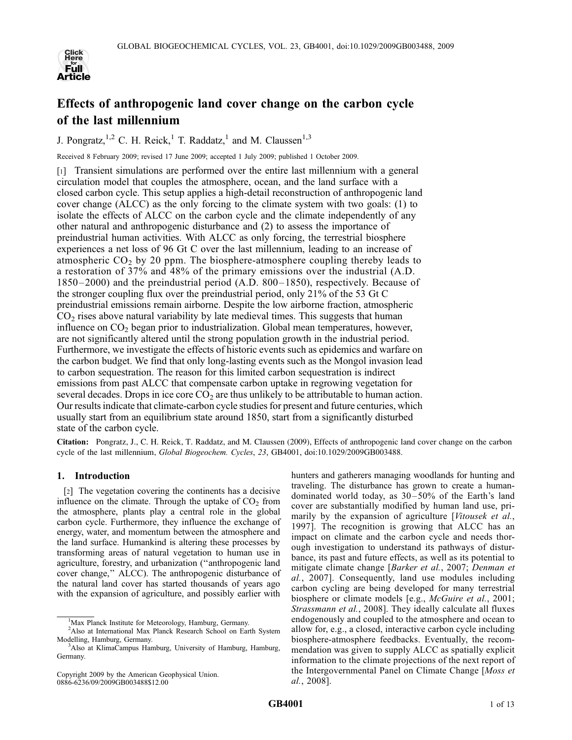

# Effects of anthropogenic land cover change on the carbon cycle of the last millennium

J. Pongratz,<sup>1,2</sup> C. H. Reick,<sup>1</sup> T. Raddatz,<sup>1</sup> and M. Claussen<sup>1,3</sup>

Received 8 February 2009; revised 17 June 2009; accepted 1 July 2009; published 1 October 2009.

[1] Transient simulations are performed over the entire last millennium with a general circulation model that couples the atmosphere, ocean, and the land surface with a closed carbon cycle. This setup applies a high-detail reconstruction of anthropogenic land cover change (ALCC) as the only forcing to the climate system with two goals: (1) to isolate the effects of ALCC on the carbon cycle and the climate independently of any other natural and anthropogenic disturbance and (2) to assess the importance of preindustrial human activities. With ALCC as only forcing, the terrestrial biosphere experiences a net loss of 96 Gt C over the last millennium, leading to an increase of atmospheric  $CO<sub>2</sub>$  by 20 ppm. The biosphere-atmosphere coupling thereby leads to a restoration of 37% and 48% of the primary emissions over the industrial (A.D. 1850–2000) and the preindustrial period (A.D. 800 – 1850), respectively. Because of the stronger coupling flux over the preindustrial period, only 21% of the 53 Gt C preindustrial emissions remain airborne. Despite the low airborne fraction, atmospheric  $CO<sub>2</sub>$  rises above natural variability by late medieval times. This suggests that human influence on  $CO<sub>2</sub>$  began prior to industrialization. Global mean temperatures, however, are not significantly altered until the strong population growth in the industrial period. Furthermore, we investigate the effects of historic events such as epidemics and warfare on the carbon budget. We find that only long-lasting events such as the Mongol invasion lead to carbon sequestration. The reason for this limited carbon sequestration is indirect emissions from past ALCC that compensate carbon uptake in regrowing vegetation for several decades. Drops in ice core  $CO<sub>2</sub>$  are thus unlikely to be attributable to human action. Our results indicate that climate-carbon cycle studies for present and future centuries, which usually start from an equilibrium state around 1850, start from a significantly disturbed state of the carbon cycle.

Citation: Pongratz, J., C. H. Reick, T. Raddatz, and M. Claussen (2009), Effects of anthropogenic land cover change on the carbon cycle of the last millennium, Global Biogeochem. Cycles, 23, GB4001, doi:10.1029/2009GB003488.

# 1. Introduction

[2] The vegetation covering the continents has a decisive influence on the climate. Through the uptake of  $CO<sub>2</sub>$  from the atmosphere, plants play a central role in the global carbon cycle. Furthermore, they influence the exchange of energy, water, and momentum between the atmosphere and the land surface. Humankind is altering these processes by transforming areas of natural vegetation to human use in agriculture, forestry, and urbanization (''anthropogenic land cover change,'' ALCC). The anthropogenic disturbance of the natural land cover has started thousands of years ago with the expansion of agriculture, and possibly earlier with

Copyright 2009 by the American Geophysical Union. 0886-6236/09/2009GB003488\$12.00

hunters and gatherers managing woodlands for hunting and traveling. The disturbance has grown to create a humandominated world today, as  $30-50\%$  of the Earth's land cover are substantially modified by human land use, primarily by the expansion of agriculture [Vitousek et al., 1997]. The recognition is growing that ALCC has an impact on climate and the carbon cycle and needs thorough investigation to understand its pathways of disturbance, its past and future effects, as well as its potential to mitigate climate change [Barker et al., 2007; Denman et al., 2007]. Consequently, land use modules including carbon cycling are being developed for many terrestrial biosphere or climate models [e.g., *McGuire et al.*, 2001; Strassmann et al., 2008]. They ideally calculate all fluxes endogenously and coupled to the atmosphere and ocean to allow for, e.g., a closed, interactive carbon cycle including biosphere-atmosphere feedbacks. Eventually, the recommendation was given to supply ALCC as spatially explicit information to the climate projections of the next report of the Intergovernmental Panel on Climate Change [Moss et al., 2008].

<sup>&</sup>lt;sup>1</sup>Max Planck Institute for Meteorology, Hamburg, Germany.

<sup>&</sup>lt;sup>2</sup>Also at International Max Planck Research School on Earth System Modelling, Hamburg, Germany.

<sup>&</sup>lt;sup>3</sup>Also at KlimaCampus Hamburg, University of Hamburg, Hamburg, Germany.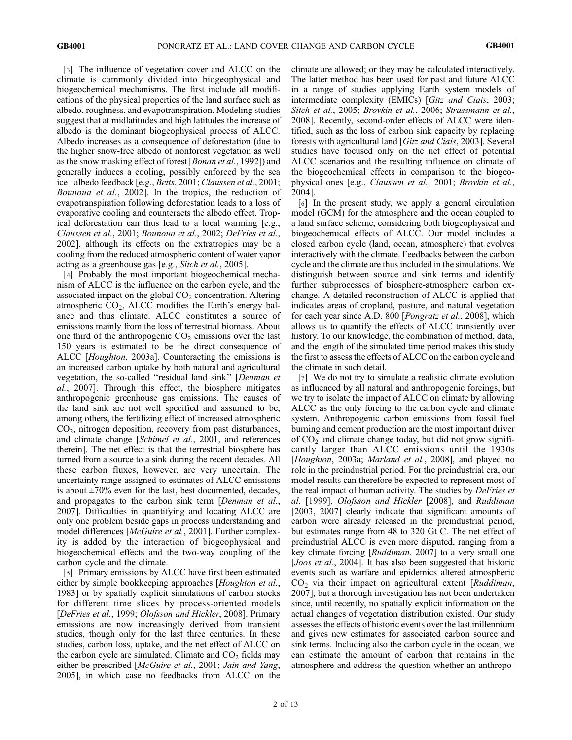[3] The influence of vegetation cover and ALCC on the climate is commonly divided into biogeophysical and biogeochemical mechanisms. The first include all modifications of the physical properties of the land surface such as albedo, roughness, and evapotranspiration. Modeling studies suggest that at midlatitudes and high latitudes the increase of albedo is the dominant biogeophysical process of ALCC. Albedo increases as a consequence of deforestation (due to the higher snow-free albedo of nonforest vegetation as well as the snow masking effect of forest [*Bonan et al.*, 1992]) and generally induces a cooling, possibly enforced by the sea ice –albedo feedback [e.g., Betts, 2001; Claussen et al., 2001; Bounoua et al., 2002]. In the tropics, the reduction of evapotranspiration following deforestation leads to a loss of evaporative cooling and counteracts the albedo effect. Tropical deforestation can thus lead to a local warming [e.g., Claussen et al., 2001; Bounoua et al., 2002; DeFries et al., 2002], although its effects on the extratropics may be a cooling from the reduced atmospheric content of water vapor acting as a greenhouse gas [e.g., *Sitch et al.*, 2005].

[4] Probably the most important biogeochemical mechanism of ALCC is the influence on the carbon cycle, and the associated impact on the global  $CO<sub>2</sub>$  concentration. Altering atmospheric  $CO<sub>2</sub>$ , ALCC modifies the Earth's energy balance and thus climate. ALCC constitutes a source of emissions mainly from the loss of terrestrial biomass. About one third of the anthropogenic  $CO<sub>2</sub>$  emissions over the last 150 years is estimated to be the direct consequence of ALCC [Houghton, 2003a]. Counteracting the emissions is an increased carbon uptake by both natural and agricultural vegetation, the so-called ''residual land sink'' [Denman et al., 2007]. Through this effect, the biosphere mitigates anthropogenic greenhouse gas emissions. The causes of the land sink are not well specified and assumed to be, among others, the fertilizing effect of increased atmospheric  $CO<sub>2</sub>$ , nitrogen deposition, recovery from past disturbances, and climate change [Schimel et al., 2001, and references therein]. The net effect is that the terrestrial biosphere has turned from a source to a sink during the recent decades. All these carbon fluxes, however, are very uncertain. The uncertainty range assigned to estimates of ALCC emissions is about  $\pm 70\%$  even for the last, best documented, decades, and propagates to the carbon sink term *[Denman et al.,* 2007]. Difficulties in quantifying and locating ALCC are only one problem beside gaps in process understanding and model differences [McGuire et al., 2001]. Further complexity is added by the interaction of biogeophysical and biogeochemical effects and the two-way coupling of the carbon cycle and the climate.

[5] Primary emissions by ALCC have first been estimated either by simple bookkeeping approaches [*Houghton et al.*, 1983] or by spatially explicit simulations of carbon stocks for different time slices by process-oriented models [DeFries et al., 1999; Olofsson and Hickler, 2008]. Primary emissions are now increasingly derived from transient studies, though only for the last three centuries. In these studies, carbon loss, uptake, and the net effect of ALCC on the carbon cycle are simulated. Climate and  $CO<sub>2</sub>$  fields may either be prescribed [McGuire et al., 2001; Jain and Yang, 2005], in which case no feedbacks from ALCC on the

climate are allowed; or they may be calculated interactively. The latter method has been used for past and future ALCC in a range of studies applying Earth system models of intermediate complexity (EMICs) [Gitz and Ciais, 2003; Sitch et al., 2005; Brovkin et al., 2006; Strassmann et al., 2008]. Recently, second-order effects of ALCC were identified, such as the loss of carbon sink capacity by replacing forests with agricultural land [Gitz and Ciais, 2003]. Several studies have focused only on the net effect of potential ALCC scenarios and the resulting influence on climate of the biogeochemical effects in comparison to the biogeophysical ones [e.g., Claussen et al., 2001; Brovkin et al., 2004].

[6] In the present study, we apply a general circulation model (GCM) for the atmosphere and the ocean coupled to a land surface scheme, considering both biogeophysical and biogeochemical effects of ALCC. Our model includes a closed carbon cycle (land, ocean, atmosphere) that evolves interactively with the climate. Feedbacks between the carbon cycle and the climate are thus included in the simulations. We distinguish between source and sink terms and identify further subprocesses of biosphere-atmosphere carbon exchange. A detailed reconstruction of ALCC is applied that indicates areas of cropland, pasture, and natural vegetation for each year since A.D. 800 [Pongratz et al., 2008], which allows us to quantify the effects of ALCC transiently over history. To our knowledge, the combination of method, data, and the length of the simulated time period makes this study the first to assess the effects of ALCC on the carbon cycle and the climate in such detail.

[7] We do not try to simulate a realistic climate evolution as influenced by all natural and anthropogenic forcings, but we try to isolate the impact of ALCC on climate by allowing ALCC as the only forcing to the carbon cycle and climate system. Anthropogenic carbon emissions from fossil fuel burning and cement production are the most important driver of  $CO<sub>2</sub>$  and climate change today, but did not grow significantly larger than ALCC emissions until the 1930s [Houghton, 2003a; Marland et al., 2008], and played no role in the preindustrial period. For the preindustrial era, our model results can therefore be expected to represent most of the real impact of human activity. The studies by *DeFries et* al. [1999], Olofsson and Hickler [2008], and Ruddiman [2003, 2007] clearly indicate that significant amounts of carbon were already released in the preindustrial period, but estimates range from 48 to 320 Gt C. The net effect of preindustrial ALCC is even more disputed, ranging from a key climate forcing [*Ruddiman*, 2007] to a very small one [*Joos et al.*, 2004]. It has also been suggested that historic events such as warfare and epidemics altered atmospheric  $CO<sub>2</sub>$  via their impact on agricultural extent [Ruddiman, 2007], but a thorough investigation has not been undertaken since, until recently, no spatially explicit information on the actual changes of vegetation distribution existed. Our study assesses the effects of historic events over the last millennium and gives new estimates for associated carbon source and sink terms. Including also the carbon cycle in the ocean, we can estimate the amount of carbon that remains in the atmosphere and address the question whether an anthropo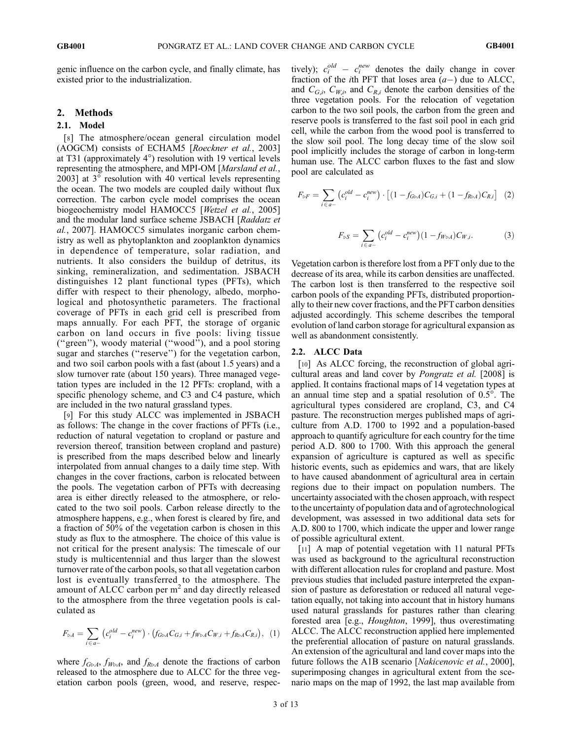genic influence on the carbon cycle, and finally climate, has existed prior to the industrialization.

# 2. Methods

# 2.1. Model

[8] The atmosphere/ocean general circulation model (AOGCM) consists of ECHAM5 [Roeckner et al., 2003] at T31 (approximately 4°) resolution with 19 vertical levels representing the atmosphere, and MPI-OM [Marsland et al.,  $2003$ ] at  $3^\circ$  resolution with 40 vertical levels representing the ocean. The two models are coupled daily without flux correction. The carbon cycle model comprises the ocean biogeochemistry model HAMOCC5 [Wetzel et al., 2005] and the modular land surface scheme JSBACH [Raddatz et al., 2007]. HAMOCC5 simulates inorganic carbon chemistry as well as phytoplankton and zooplankton dynamics in dependence of temperature, solar radiation, and nutrients. It also considers the buildup of detritus, its sinking, remineralization, and sedimentation. JSBACH distinguishes 12 plant functional types (PFTs), which differ with respect to their phenology, albedo, morphological and photosynthetic parameters. The fractional coverage of PFTs in each grid cell is prescribed from maps annually. For each PFT, the storage of organic carbon on land occurs in five pools: living tissue (''green''), woody material (''wood''), and a pool storing sugar and starches ("reserve") for the vegetation carbon, and two soil carbon pools with a fast (about 1.5 years) and a slow turnover rate (about 150 years). Three managed vegetation types are included in the 12 PFTs: cropland, with a specific phenology scheme, and C3 and C4 pasture, which are included in the two natural grassland types.

[9] For this study ALCC was implemented in JSBACH as follows: The change in the cover fractions of PFTs (i.e., reduction of natural vegetation to cropland or pasture and reversion thereof, transition between cropland and pasture) is prescribed from the maps described below and linearly interpolated from annual changes to a daily time step. With changes in the cover fractions, carbon is relocated between the pools. The vegetation carbon of PFTs with decreasing area is either directly released to the atmosphere, or relocated to the two soil pools. Carbon release directly to the atmosphere happens, e.g., when forest is cleared by fire, and a fraction of 50% of the vegetation carbon is chosen in this study as flux to the atmosphere. The choice of this value is not critical for the present analysis: The timescale of our study is multicentennial and thus larger than the slowest turnover rate of the carbon pools, so that all vegetation carbon lost is eventually transferred to the atmosphere. The amount of ALCC carbon per  $m<sup>2</sup>$  and day directly released to the atmosphere from the three vegetation pools is calculated as

$$
F_{\triangleright A} = \sum_{i \in a^-} \left( c_i^{\text{old}} - c_i^{\text{new}} \right) \cdot \left( f_{\text{G}\triangleright A} C_{G,i} + f_{W\triangleright A} C_{W,i} + f_{R\triangleright A} C_{R,i} \right), \tag{1}
$$

where  $f_{G\triangleright A}$ ,  $f_{W\triangleright A}$ , and  $f_{R\triangleright A}$  denote the fractions of carbon released to the atmosphere due to ALCC for the three vegetation carbon pools (green, wood, and reserve, respec-

tively);  $c_i^{old} - c_i^{new}$  denotes the daily change in cover fraction of the *i*th PFT that loses area  $(a-)$  due to ALCC, and  $C_{G,i}$ ,  $C_{W,i}$ , and  $C_{R,i}$  denote the carbon densities of the three vegetation pools. For the relocation of vegetation carbon to the two soil pools, the carbon from the green and reserve pools is transferred to the fast soil pool in each grid cell, while the carbon from the wood pool is transferred to the slow soil pool. The long decay time of the slow soil pool implicitly includes the storage of carbon in long-term human use. The ALCC carbon fluxes to the fast and slow pool are calculated as

$$
F_{\triangleright F} = \sum_{i \in a^-} \left( c_i^{old} - c_i^{new} \right) \cdot \left[ (1 - f_{G\triangleright A}) C_{G,i} + (1 - f_{R\triangleright A}) C_{R,i} \right] \tag{2}
$$

$$
F_{\triangleright S} = \sum_{i \in a-} \left( c_i^{old} - c_i^{new} \right) (1 - f_{W \triangleright A}) C_{W,i}.
$$
 (3)

Vegetation carbon is therefore lost from a PFT only due to the decrease of its area, while its carbon densities are unaffected. The carbon lost is then transferred to the respective soil carbon pools of the expanding PFTs, distributed proportionally to their new cover fractions, and the PFT carbon densities adjusted accordingly. This scheme describes the temporal evolution of land carbon storage for agricultural expansion as well as abandonment consistently.

#### 2.2. ALCC Data

[10] As ALCC forcing, the reconstruction of global agricultural areas and land cover by Pongratz et al. [2008] is applied. It contains fractional maps of 14 vegetation types at an annual time step and a spatial resolution of  $0.5^\circ$ . The agricultural types considered are cropland, C3, and C4 pasture. The reconstruction merges published maps of agriculture from A.D. 1700 to 1992 and a population-based approach to quantify agriculture for each country for the time period A.D. 800 to 1700. With this approach the general expansion of agriculture is captured as well as specific historic events, such as epidemics and wars, that are likely to have caused abandonment of agricultural area in certain regions due to their impact on population numbers. The uncertainty associated with the chosen approach, with respect to the uncertainty of population data and of agrotechnological development, was assessed in two additional data sets for A.D. 800 to 1700, which indicate the upper and lower range of possible agricultural extent.

[11] A map of potential vegetation with 11 natural PFTs was used as background to the agricultural reconstruction with different allocation rules for cropland and pasture. Most previous studies that included pasture interpreted the expansion of pasture as deforestation or reduced all natural vegetation equally, not taking into account that in history humans used natural grasslands for pastures rather than clearing forested area [e.g., Houghton, 1999], thus overestimating ALCC. The ALCC reconstruction applied here implemented the preferential allocation of pasture on natural grasslands. An extension of the agricultural and land cover maps into the future follows the A1B scenario [Nakicenovic et al., 2000], superimposing changes in agricultural extent from the scenario maps on the map of 1992, the last map available from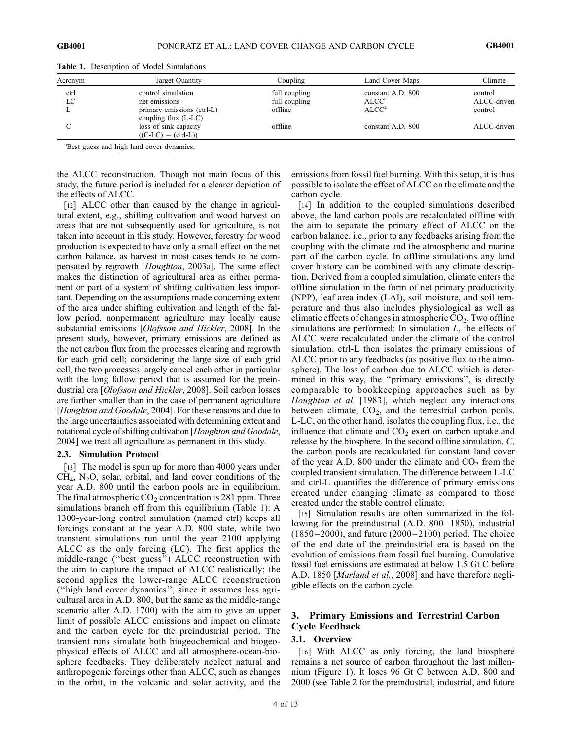| Acronym | Target Quantity                                      | Coupling      | Land Cover Maps   | Climate     |
|---------|------------------------------------------------------|---------------|-------------------|-------------|
| ctrl    | control simulation                                   | full coupling | constant A.D. 800 | control     |
| LC      | net emissions                                        | full coupling | ALCC <sup>a</sup> | ALCC-driven |
|         | primary emissions (ctrl-L)<br>coupling flux $(L-LC)$ | offline       | ALCC <sup>a</sup> | control     |
|         | loss of sink capacity                                | offline       | constant A.D. 800 | ALCC-driven |
|         | $((C-LC) - (ctrl-L))$                                |               |                   |             |

Table 1. Description of Model Simulations

<sup>a</sup>Best guess and high land cover dynamics.

the ALCC reconstruction. Though not main focus of this study, the future period is included for a clearer depiction of the effects of ALCC.

[12] ALCC other than caused by the change in agricultural extent, e.g., shifting cultivation and wood harvest on areas that are not subsequently used for agriculture, is not taken into account in this study. However, forestry for wood production is expected to have only a small effect on the net carbon balance, as harvest in most cases tends to be compensated by regrowth [Houghton, 2003a]. The same effect makes the distinction of agricultural area as either permanent or part of a system of shifting cultivation less important. Depending on the assumptions made concerning extent of the area under shifting cultivation and length of the fallow period, nonpermanent agriculture may locally cause substantial emissions [Olofsson and Hickler, 2008]. In the present study, however, primary emissions are defined as the net carbon flux from the processes clearing and regrowth for each grid cell; considering the large size of each grid cell, the two processes largely cancel each other in particular with the long fallow period that is assumed for the preindustrial era [Olofsson and Hickler, 2008]. Soil carbon losses are further smaller than in the case of permanent agriculture [Houghton and Goodale, 2004]. For these reasons and due to the large uncertainties associated with determining extent and rotational cycle of shifting cultivation [Houghton and Goodale, 2004] we treat all agriculture as permanent in this study.

#### 2.3. Simulation Protocol

[13] The model is spun up for more than 4000 years under CH4, N2O, solar, orbital, and land cover conditions of the year A.D. 800 until the carbon pools are in equilibrium. The final atmospheric  $CO<sub>2</sub>$  concentration is 281 ppm. Three simulations branch off from this equilibrium (Table 1): A 1300-year-long control simulation (named ctrl) keeps all forcings constant at the year A.D. 800 state, while two transient simulations run until the year 2100 applying ALCC as the only forcing (LC). The first applies the middle-range (''best guess'') ALCC reconstruction with the aim to capture the impact of ALCC realistically; the second applies the lower-range ALCC reconstruction (''high land cover dynamics'', since it assumes less agricultural area in A.D. 800, but the same as the middle-range scenario after A.D. 1700) with the aim to give an upper limit of possible ALCC emissions and impact on climate and the carbon cycle for the preindustrial period. The transient runs simulate both biogeochemical and biogeophysical effects of ALCC and all atmosphere-ocean-biosphere feedbacks. They deliberately neglect natural and anthropogenic forcings other than ALCC, such as changes in the orbit, in the volcanic and solar activity, and the

emissions from fossil fuel burning. With this setup, it is thus possible to isolate the effect of ALCC on the climate and the carbon cycle.

[14] In addition to the coupled simulations described above, the land carbon pools are recalculated offline with the aim to separate the primary effect of ALCC on the carbon balance, i.e., prior to any feedbacks arising from the coupling with the climate and the atmospheric and marine part of the carbon cycle. In offline simulations any land cover history can be combined with any climate description. Derived from a coupled simulation, climate enters the offline simulation in the form of net primary productivity (NPP), leaf area index (LAI), soil moisture, and soil temperature and thus also includes physiological as well as climatic effects of changes in atmospheric  $CO<sub>2</sub>$ . Two offline simulations are performed: In simulation  $L$ , the effects of ALCC were recalculated under the climate of the control simulation. ctrl-L then isolates the primary emissions of ALCC prior to any feedbacks (as positive flux to the atmosphere). The loss of carbon due to ALCC which is determined in this way, the ''primary emissions'', is directly comparable to bookkeeping approaches such as by Houghton et al. [1983], which neglect any interactions between climate,  $CO<sub>2</sub>$ , and the terrestrial carbon pools. L-LC, on the other hand, isolates the coupling flux, i.e., the influence that climate and  $CO<sub>2</sub>$  exert on carbon uptake and release by the biosphere. In the second offline simulation,  $C$ , the carbon pools are recalculated for constant land cover of the year A.D. 800 under the climate and  $CO<sub>2</sub>$  from the coupled transient simulation. The difference between L-LC and ctrl-L quantifies the difference of primary emissions created under changing climate as compared to those created under the stable control climate.

[15] Simulation results are often summarized in the following for the preindustrial  $(A.D. 800-1850)$ , industrial  $(1850 - 2000)$ , and future  $(2000 - 2100)$  period. The choice of the end date of the preindustrial era is based on the evolution of emissions from fossil fuel burning. Cumulative fossil fuel emissions are estimated at below 1.5 Gt C before A.D. 1850 [Marland et al., 2008] and have therefore negligible effects on the carbon cycle.

# 3. Primary Emissions and Terrestrial Carbon Cycle Feedback

# 3.1. Overview

[16] With ALCC as only forcing, the land biosphere remains a net source of carbon throughout the last millennium (Figure 1). It loses 96 Gt C between A.D. 800 and 2000 (see Table 2 for the preindustrial, industrial, and future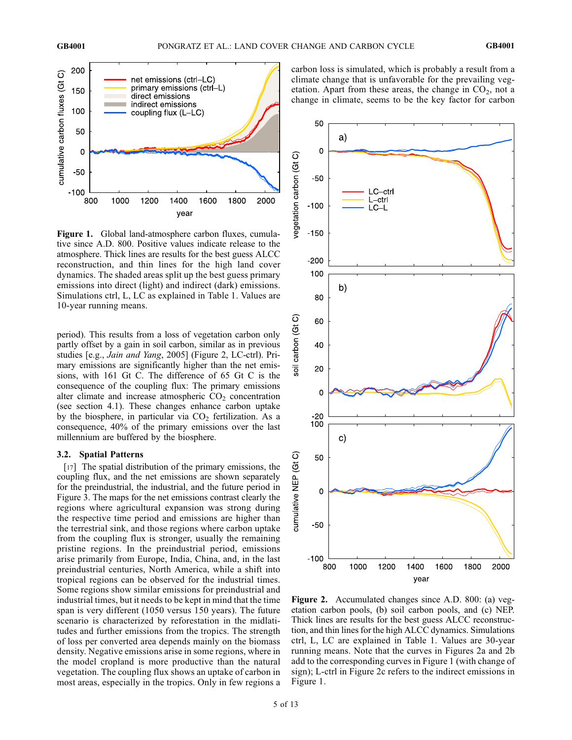

Figure 1. Global land-atmosphere carbon fluxes, cumulative since A.D. 800. Positive values indicate release to the atmosphere. Thick lines are results for the best guess ALCC reconstruction, and thin lines for the high land cover dynamics. The shaded areas split up the best guess primary emissions into direct (light) and indirect (dark) emissions. Simulations ctrl, L, LC as explained in Table 1. Values are 10-year running means.

period). This results from a loss of vegetation carbon only partly offset by a gain in soil carbon, similar as in previous studies [e.g., Jain and Yang, 2005] (Figure 2, LC-ctrl). Primary emissions are significantly higher than the net emissions, with 161 Gt C. The difference of 65 Gt C is the consequence of the coupling flux: The primary emissions alter climate and increase atmospheric  $CO<sub>2</sub>$  concentration (see section 4.1). These changes enhance carbon uptake by the biosphere, in particular via  $CO<sub>2</sub>$  fertilization. As a consequence, 40% of the primary emissions over the last millennium are buffered by the biosphere.

## 3.2. Spatial Patterns

[17] The spatial distribution of the primary emissions, the coupling flux, and the net emissions are shown separately for the preindustrial, the industrial, and the future period in Figure 3. The maps for the net emissions contrast clearly the regions where agricultural expansion was strong during the respective time period and emissions are higher than the terrestrial sink, and those regions where carbon uptake from the coupling flux is stronger, usually the remaining pristine regions. In the preindustrial period, emissions arise primarily from Europe, India, China, and, in the last preindustrial centuries, North America, while a shift into tropical regions can be observed for the industrial times. Some regions show similar emissions for preindustrial and industrial times, but it needs to be kept in mind that the time span is very different (1050 versus 150 years). The future scenario is characterized by reforestation in the midlatitudes and further emissions from the tropics. The strength of loss per converted area depends mainly on the biomass density. Negative emissions arise in some regions, where in the model cropland is more productive than the natural vegetation. The coupling flux shows an uptake of carbon in most areas, especially in the tropics. Only in few regions a

carbon loss is simulated, which is probably a result from a climate change that is unfavorable for the prevailing vegetation. Apart from these areas, the change in  $CO<sub>2</sub>$ , not a change in climate, seems to be the key factor for carbon



Figure 2. Accumulated changes since A.D. 800: (a) vegetation carbon pools, (b) soil carbon pools, and (c) NEP. Thick lines are results for the best guess ALCC reconstruction, and thin lines for the high ALCC dynamics. Simulations ctrl, L, LC are explained in Table 1. Values are 30-year running means. Note that the curves in Figures 2a and 2b add to the corresponding curves in Figure 1 (with change of sign); L-ctrl in Figure 2c refers to the indirect emissions in Figure 1.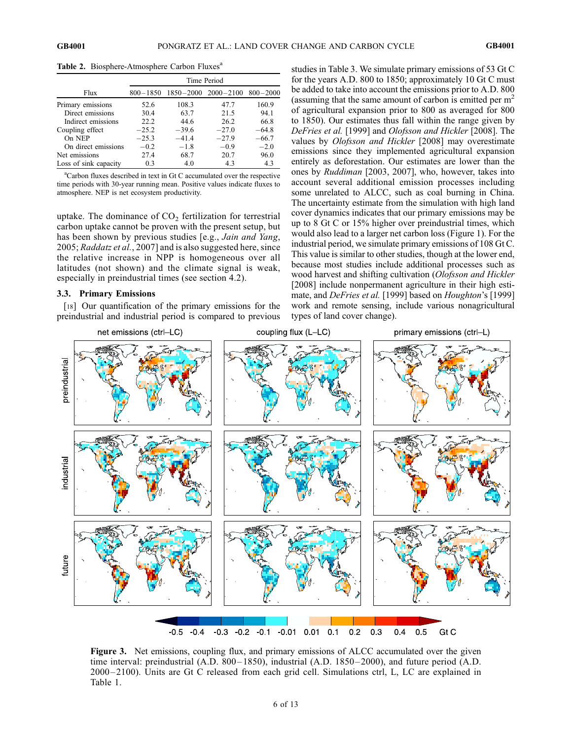|                       | Time Period |         |                                    |              |
|-----------------------|-------------|---------|------------------------------------|--------------|
| Flux                  |             |         | $800-1850$ $1850-2000$ $2000-2100$ | $800 - 2000$ |
| Primary emissions     | 52.6        | 108.3   | 47.7                               | 160.9        |
| Direct emissions      | 30.4        | 63.7    | 21.5                               | 94.1         |
| Indirect emissions    | 22.2        | 44.6    | 26.2                               | 66.8         |
| Coupling effect       | $-25.2$     | $-39.6$ | $-27.0$                            | $-64.8$      |
| On NEP                | $-25.3$     | $-41.4$ | $-27.9$                            | $-66.7$      |
| On direct emissions   | $-0.2$      | $-1.8$  | $-0.9$                             | $-2.0$       |
| Net emissions         | 27.4        | 68.7    | 20.7                               | 96.0         |
| Loss of sink capacity | 0.3         | 4.0     | 43                                 | 4.3          |

Table 2. Biosphere-Atmosphere Carbon Fluxes<sup>a</sup>

<sup>a</sup>Carbon fluxes described in text in Gt C accumulated over the respective time periods with 30-year running mean. Positive values indicate fluxes to atmosphere. NEP is net ecosystem productivity.

uptake. The dominance of  $CO<sub>2</sub>$  fertilization for terrestrial carbon uptake cannot be proven with the present setup, but has been shown by previous studies [e.g., *Jain and Yang*, 2005; Raddatz et al., 2007] and is also suggested here, since the relative increase in NPP is homogeneous over all latitudes (not shown) and the climate signal is weak, especially in preindustrial times (see section 4.2).

## 3.3. Primary Emissions

[18] Our quantification of the primary emissions for the preindustrial and industrial period is compared to previous studies in Table 3. We simulate primary emissions of 53 Gt C for the years A.D. 800 to 1850; approximately 10 Gt C must be added to take into account the emissions prior to A.D. 800 (assuming that the same amount of carbon is emitted per  $m<sup>2</sup>$ of agricultural expansion prior to 800 as averaged for 800 to 1850). Our estimates thus fall within the range given by DeFries et al. [1999] and Olofsson and Hickler [2008]. The values by Olofsson and Hickler [2008] may overestimate emissions since they implemented agricultural expansion entirely as deforestation. Our estimates are lower than the ones by Ruddiman [2003, 2007], who, however, takes into account several additional emission processes including some unrelated to ALCC, such as coal burning in China. The uncertainty estimate from the simulation with high land cover dynamics indicates that our primary emissions may be up to 8 Gt C or 15% higher over preindustrial times, which would also lead to a larger net carbon loss (Figure 1). For the industrial period, we simulate primary emissions of 108 Gt C. This value is similar to other studies, though at the lower end, because most studies include additional processes such as wood harvest and shifting cultivation (Olofsson and Hickler [2008] include nonpermanent agriculture in their high estimate, and *DeFries et al.* [1999] based on *Houghton's* [1999] work and remote sensing, include various nonagricultural types of land cover change).



Figure 3. Net emissions, coupling flux, and primary emissions of ALCC accumulated over the given time interval: preindustrial (A.D. 800–1850), industrial (A.D. 1850–2000), and future period (A.D. 2000 – 2100). Units are Gt C released from each grid cell. Simulations ctrl, L, LC are explained in Table 1.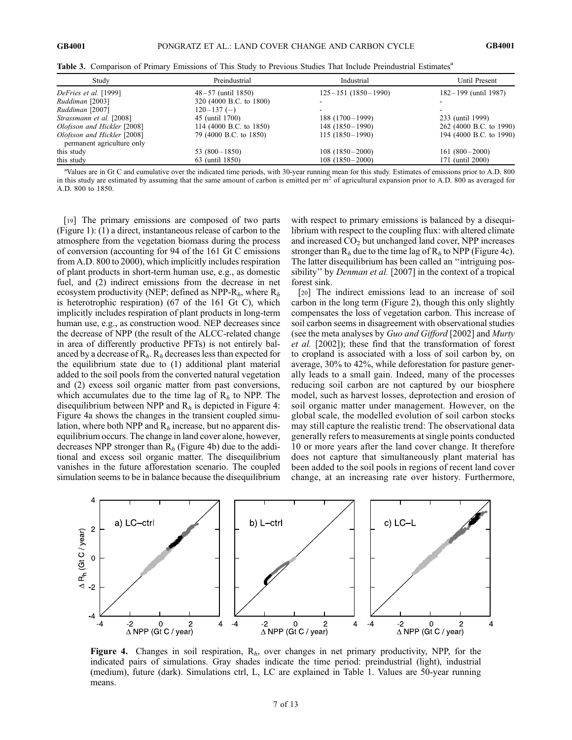| Study                       | Preindustrial           | Industrial               | Until Present           |
|-----------------------------|-------------------------|--------------------------|-------------------------|
| DeFries et al. [1999]       | $48 - 57$ (until 1850)  | $125 - 151(1850 - 1990)$ | 182–199 (until 1987)    |
| Ruddiman [2003]             | 320 (4000 B.C. to 1800) |                          |                         |
| Ruddiman [2007]             | $120 - 137$ (-)         |                          |                         |
| Strassmann et al. [2008]    | 45 (until 1700)         | $188(1700-1999)$         | 233 (until 1999)        |
| Olofsson and Hickler [2008] | 114 (4000 B.C. to 1850) | $148(1850-1990)$         | 262 (4000 B.C. to 1990) |
| Olofsson and Hickler [2008] | 79 (4000 B.C. to 1850)  | $115(1850-1990)$         | 194 (4000 B.C. to 1990) |
| permanent agriculture only  |                         |                          |                         |
| this study                  | 53 $(800-1850)$         | $108(1850-2000)$         | $161(800-2000)$         |
| this study                  | 63 (until 1850)         | $108(1850-2000)$         | 171 (until 2000)        |

Table 3. Comparison of Primary Emissions of This Study to Previous Studies That Include Preindustrial Estimates<sup>a</sup>

<sup>a</sup>Values are in Gt C and cumulative over the indicated time periods, with 30-year running mean for this study. Estimates of emissions prior to A.D. 800 in this study are estimated by assuming that the same amount of carbon is emitted per  $m^2$  of agricultural expansion prior to A.D. 800 as averaged for A.D. 800 to 1850.

[19] The primary emissions are composed of two parts (Figure 1): (1) a direct, instantaneous release of carbon to the atmosphere from the vegetation biomass during the process of conversion (accounting for 94 of the 161 Gt C emissions from A.D. 800 to 2000), which implicitly includes respiration of plant products in short-term human use, e.g., as domestic fuel, and (2) indirect emissions from the decrease in net ecosystem productivity (NEP; defined as NPP- $R_h$ , where  $R_h$ is heterotrophic respiration) (67 of the 161 Gt C), which implicitly includes respiration of plant products in long-term human use, e.g., as construction wood. NEP decreases since the decrease of NPP (the result of the ALCC-related change in area of differently productive PFTs) is not entirely balanced by a decrease of  $R_h$ .  $R_h$  decreases less than expected for the equilibrium state due to (1) additional plant material added to the soil pools from the converted natural vegetation and (2) excess soil organic matter from past conversions, which accumulates due to the time lag of  $R<sub>h</sub>$  to NPP. The disequilibrium between NPP and  $R<sub>h</sub>$  is depicted in Figure 4: Figure 4a shows the changes in the transient coupled simulation, where both NPP and  $R<sub>h</sub>$  increase, but no apparent disequilibrium occurs. The change in land cover alone, however, decreases NPP stronger than  $R_h$  (Figure 4b) due to the additional and excess soil organic matter. The disequilibrium vanishes in the future afforestation scenario. The coupled simulation seems to be in balance because the disequilibrium

with respect to primary emissions is balanced by a disequilibrium with respect to the coupling flux: with altered climate and increased  $CO<sub>2</sub>$  but unchanged land cover, NPP increases stronger than  $R_h$  due to the time lag of  $R_h$  to NPP (Figure 4c). The latter disequilibrium has been called an ''intriguing possibility" by *Denman et al.* [2007] in the context of a tropical forest sink.

[20] The indirect emissions lead to an increase of soil carbon in the long term (Figure 2), though this only slightly compensates the loss of vegetation carbon. This increase of soil carbon seems in disagreement with observational studies (see the meta analyses by Guo and Gifford [2002] and Murty et al. [2002]); these find that the transformation of forest to cropland is associated with a loss of soil carbon by, on average, 30% to 42%, while deforestation for pasture generally leads to a small gain. Indeed, many of the processes reducing soil carbon are not captured by our biosphere model, such as harvest losses, deprotection and erosion of soil organic matter under management. However, on the global scale, the modelled evolution of soil carbon stocks may still capture the realistic trend: The observational data generally refers to measurements at single points conducted 10 or more years after the land cover change. It therefore does not capture that simultaneously plant material has been added to the soil pools in regions of recent land cover change, at an increasing rate over history. Furthermore,



Figure 4. Changes in soil respiration,  $R<sub>h</sub>$ , over changes in net primary productivity, NPP, for the indicated pairs of simulations. Gray shades indicate the time period: preindustrial (light), industrial (medium), future (dark). Simulations ctrl, L, LC are explained in Table 1. Values are 50-year running means.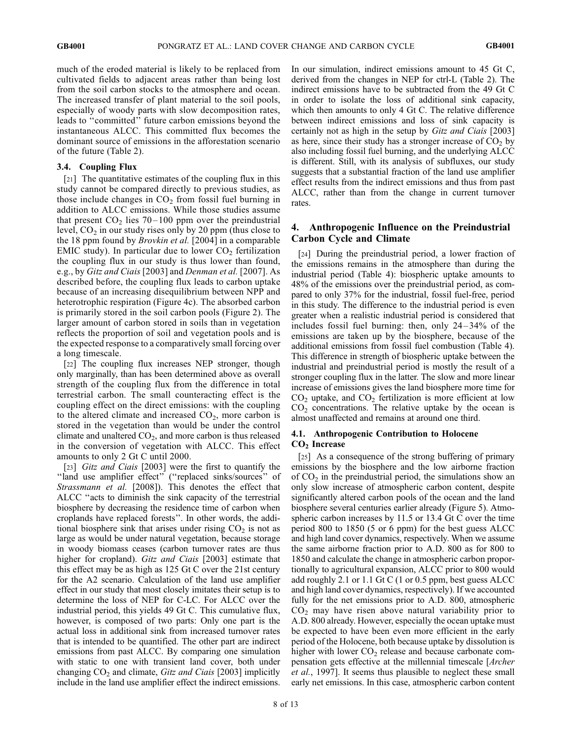much of the eroded material is likely to be replaced from cultivated fields to adjacent areas rather than being lost from the soil carbon stocks to the atmosphere and ocean. The increased transfer of plant material to the soil pools, especially of woody parts with slow decomposition rates, leads to ''committed'' future carbon emissions beyond the instantaneous ALCC. This committed flux becomes the dominant source of emissions in the afforestation scenario of the future (Table 2).

## 3.4. Coupling Flux

[21] The quantitative estimates of the coupling flux in this study cannot be compared directly to previous studies, as those include changes in  $CO<sub>2</sub>$  from fossil fuel burning in addition to ALCC emissions. While those studies assume that present  $CO<sub>2</sub>$  lies 70–100 ppm over the preindustrial level,  $CO<sub>2</sub>$  in our study rises only by 20 ppm (thus close to the 18 ppm found by Brovkin et al. [2004] in a comparable EMIC study). In particular due to lower  $CO<sub>2</sub>$  fertilization the coupling flux in our study is thus lower than found, e.g., by Gitz and Ciais [2003] and Denman et al. [2007]. As described before, the coupling flux leads to carbon uptake because of an increasing disequilibrium between NPP and heterotrophic respiration (Figure 4c). The absorbed carbon is primarily stored in the soil carbon pools (Figure 2). The larger amount of carbon stored in soils than in vegetation reflects the proportion of soil and vegetation pools and is the expected response to a comparatively small forcing over a long timescale.

[22] The coupling flux increases NEP stronger, though only marginally, than has been determined above as overall strength of the coupling flux from the difference in total terrestrial carbon. The small counteracting effect is the coupling effect on the direct emissions: with the coupling to the altered climate and increased  $CO<sub>2</sub>$ , more carbon is stored in the vegetation than would be under the control climate and unaltered  $CO<sub>2</sub>$ , and more carbon is thus released in the conversion of vegetation with ALCC. This effect amounts to only 2 Gt C until 2000.

[23] Gitz and Ciais [2003] were the first to quantify the "land use amplifier effect" ("replaced sinks/sources" of Strassmann et al. [2008]). This denotes the effect that ALCC ''acts to diminish the sink capacity of the terrestrial biosphere by decreasing the residence time of carbon when croplands have replaced forests''. In other words, the additional biosphere sink that arises under rising  $CO<sub>2</sub>$  is not as large as would be under natural vegetation, because storage in woody biomass ceases (carbon turnover rates are thus higher for cropland). Gitz and Ciais [2003] estimate that this effect may be as high as 125 Gt C over the 21st century for the A2 scenario. Calculation of the land use amplifier effect in our study that most closely imitates their setup is to determine the loss of NEP for C-LC. For ALCC over the industrial period, this yields 49 Gt C. This cumulative flux, however, is composed of two parts: Only one part is the actual loss in additional sink from increased turnover rates that is intended to be quantified. The other part are indirect emissions from past ALCC. By comparing one simulation with static to one with transient land cover, both under changing  $CO<sub>2</sub>$  and climate, *Gitz and Ciais* [2003] implicitly include in the land use amplifier effect the indirect emissions.

In our simulation, indirect emissions amount to 45 Gt C, derived from the changes in NEP for ctrl-L (Table 2). The indirect emissions have to be subtracted from the 49 Gt C in order to isolate the loss of additional sink capacity, which then amounts to only 4 Gt C. The relative difference between indirect emissions and loss of sink capacity is certainly not as high in the setup by Gitz and Ciais [2003] as here, since their study has a stronger increase of  $CO<sub>2</sub>$  by also including fossil fuel burning, and the underlying ALCC is different. Still, with its analysis of subfluxes, our study suggests that a substantial fraction of the land use amplifier effect results from the indirect emissions and thus from past ALCC, rather than from the change in current turnover rates.

# 4. Anthropogenic Influence on the Preindustrial Carbon Cycle and Climate

[24] During the preindustrial period, a lower fraction of the emissions remains in the atmosphere than during the industrial period (Table 4): biospheric uptake amounts to 48% of the emissions over the preindustrial period, as compared to only 37% for the industrial, fossil fuel-free, period in this study. The difference to the industrial period is even greater when a realistic industrial period is considered that includes fossil fuel burning: then, only  $24 - 34\%$  of the emissions are taken up by the biosphere, because of the additional emissions from fossil fuel combustion (Table 4). This difference in strength of biospheric uptake between the industrial and preindustrial period is mostly the result of a stronger coupling flux in the latter. The slow and more linear increase of emissions gives the land biosphere more time for  $CO<sub>2</sub>$  uptake, and  $CO<sub>2</sub>$  fertilization is more efficient at low  $CO<sub>2</sub>$  concentrations. The relative uptake by the ocean is almost unaffected and remains at around one third.

## 4.1. Anthropogenic Contribution to Holocene CO<sub>2</sub> Increase

[25] As a consequence of the strong buffering of primary emissions by the biosphere and the low airborne fraction of  $CO<sub>2</sub>$  in the preindustrial period, the simulations show an only slow increase of atmospheric carbon content, despite significantly altered carbon pools of the ocean and the land biosphere several centuries earlier already (Figure 5). Atmospheric carbon increases by 11.5 or 13.4 Gt C over the time period 800 to 1850 (5 or 6 ppm) for the best guess ALCC and high land cover dynamics, respectively. When we assume the same airborne fraction prior to A.D. 800 as for 800 to 1850 and calculate the change in atmospheric carbon proportionally to agricultural expansion, ALCC prior to 800 would add roughly 2.1 or 1.1 Gt C (1 or 0.5 ppm, best guess ALCC and high land cover dynamics, respectively). If we accounted fully for the net emissions prior to A.D. 800, atmospheric  $CO<sub>2</sub>$  may have risen above natural variability prior to A.D. 800 already. However, especially the ocean uptake must be expected to have been even more efficient in the early period of the Holocene, both because uptake by dissolution is higher with lower  $CO<sub>2</sub>$  release and because carbonate compensation gets effective at the millennial timescale [Archer et al., 1997]. It seems thus plausible to neglect these small early net emissions. In this case, atmospheric carbon content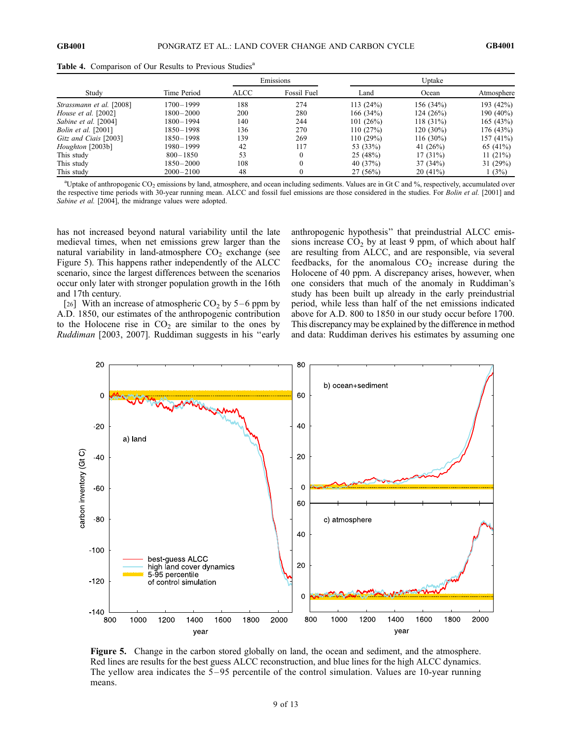|                            | Time Period   | Emissions |             | Uptake      |             |              |
|----------------------------|---------------|-----------|-------------|-------------|-------------|--------------|
| Study                      |               | ALCC      | Fossil Fuel | Land        | Ocean       | Atmosphere   |
| Strassmann et al. [2008]   | $1700 - 1999$ | 188       | 274         | 113(24%)    | 156(34%)    | 193 (42%)    |
| House et al. [2002]        | $1800 - 2000$ | 200       | 280         | 166 $(34%)$ | 124 (26%)   | 190 $(40\%)$ |
| Sabine et al. [2004]       | $1800 - 1994$ | 140       | 244         | 101(26%)    | $118(31\%)$ | 165(43%)     |
| <i>Bolin et al.</i> [2001] | $1850 - 1998$ | 136       | 270         | 110(27%)    | 120 (30%)   | 176(43%)     |
| Gitz and Ciais [2003]      | $1850 - 1998$ | 139       | 269         | 110(29%)    | 116 (30%)   | 157(41%)     |
| Houghton [2003b]           | $1980 - 1999$ | 42        | 117         | 53 (33%)    | 41 $(26%)$  | 65 (41%)     |
| This study                 | $800 - 1850$  | 53        | $\theta$    | 25(48%)     | $17(31\%)$  | 11(21%)      |
| This study                 | $1850 - 2000$ | 108       | $\Omega$    | 40 $(37%)$  | 37(34%)     | 31(29%)      |
| This study                 | $2000 - 2100$ | 48        | $\Omega$    | 27(56%)     | 20(41%)     | 1(3%)        |

Table 4. Comparison of Our Results to Previous Studies<sup>a</sup>

<sup>a</sup> Uptake of anthropogenic CO<sub>2</sub> emissions by land, atmosphere, and ocean including sediments. Values are in Gt C and %, respectively, accumulated over the respective time periods with 30-year running mean. ALCC and fossil fuel emissions are those considered in the studies. For Bolin et al. [2001] and Sabine et al. [2004], the midrange values were adopted.

has not increased beyond natural variability until the late medieval times, when net emissions grew larger than the natural variability in land-atmosphere  $CO<sub>2</sub>$  exchange (see Figure 5). This happens rather independently of the ALCC scenario, since the largest differences between the scenarios occur only later with stronger population growth in the 16th and 17th century.

[26] With an increase of atmospheric  $CO<sub>2</sub>$  by 5–6 ppm by A.D. 1850, our estimates of the anthropogenic contribution to the Holocene rise in  $CO<sub>2</sub>$  are similar to the ones by Ruddiman [2003, 2007]. Ruddiman suggests in his ''early anthropogenic hypothesis'' that preindustrial ALCC emissions increase  $CO<sub>2</sub>$  by at least 9 ppm, of which about half are resulting from ALCC, and are responsible, via several feedbacks, for the anomalous  $CO<sub>2</sub>$  increase during the Holocene of 40 ppm. A discrepancy arises, however, when one considers that much of the anomaly in Ruddiman's study has been built up already in the early preindustrial period, while less than half of the net emissions indicated above for A.D. 800 to 1850 in our study occur before 1700. This discrepancy may be explained by the difference in method and data: Ruddiman derives his estimates by assuming one



Figure 5. Change in the carbon stored globally on land, the ocean and sediment, and the atmosphere. Red lines are results for the best guess ALCC reconstruction, and blue lines for the high ALCC dynamics. The yellow area indicates the 5 – 95 percentile of the control simulation. Values are 10-year running means.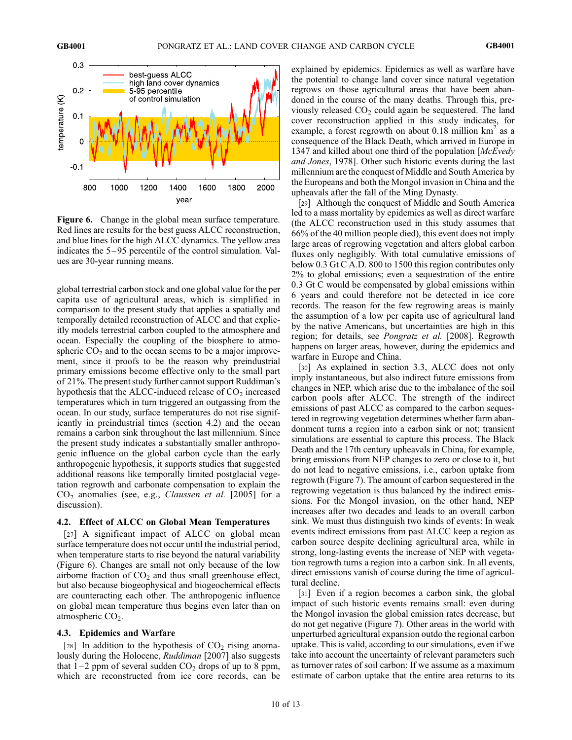

Figure 6. Change in the global mean surface temperature. Red lines are results for the best guess ALCC reconstruction, and blue lines for the high ALCC dynamics. The yellow area indicates the 5–95 percentile of the control simulation. Values are 30-year running means.

global terrestrial carbon stock and one global value for the per capita use of agricultural areas, which is simplified in comparison to the present study that applies a spatially and temporally detailed reconstruction of ALCC and that explicitly models terrestrial carbon coupled to the atmosphere and ocean. Especially the coupling of the biosphere to atmospheric  $CO<sub>2</sub>$  and to the ocean seems to be a major improvement, since it proofs to be the reason why preindustrial primary emissions become effective only to the small part of 21%. The present study further cannot support Ruddiman's hypothesis that the ALCC-induced release of  $CO<sub>2</sub>$  increased temperatures which in turn triggered an outgassing from the ocean. In our study, surface temperatures do not rise significantly in preindustrial times (section 4.2) and the ocean remains a carbon sink throughout the last millennium. Since the present study indicates a substantially smaller anthropogenic influence on the global carbon cycle than the early anthropogenic hypothesis, it supports studies that suggested additional reasons like temporally limited postglacial vegetation regrowth and carbonate compensation to explain the  $CO<sub>2</sub>$  anomalies (see, e.g., *Claussen et al.* [2005] for a discussion).

#### 4.2. Effect of ALCC on Global Mean Temperatures

[27] A significant impact of ALCC on global mean surface temperature does not occur until the industrial period, when temperature starts to rise beyond the natural variability (Figure 6). Changes are small not only because of the low airborne fraction of  $CO<sub>2</sub>$  and thus small greenhouse effect, but also because biogeophysical and biogeochemical effects are counteracting each other. The anthropogenic influence on global mean temperature thus begins even later than on atmospheric  $CO<sub>2</sub>$ .

#### 4.3. Epidemics and Warfare

[28] In addition to the hypothesis of  $CO<sub>2</sub>$  rising anomalously during the Holocene, *Ruddiman* [2007] also suggests that  $1-2$  ppm of several sudden  $CO<sub>2</sub>$  drops of up to 8 ppm, which are reconstructed from ice core records, can be explained by epidemics. Epidemics as well as warfare have the potential to change land cover since natural vegetation regrows on those agricultural areas that have been abandoned in the course of the many deaths. Through this, previously released  $CO<sub>2</sub>$  could again be sequestered. The land cover reconstruction applied in this study indicates, for example, a forest regrowth on about 0.18 million  $km^2$  as a consequence of the Black Death, which arrived in Europe in 1347 and killed about one third of the population [McEvedy] and Jones, 1978]. Other such historic events during the last millennium are the conquest of Middle and South America by the Europeans and both the Mongol invasion in China and the upheavals after the fall of the Ming Dynasty.

[29] Although the conquest of Middle and South America led to a mass mortality by epidemics as well as direct warfare (the ALCC reconstruction used in this study assumes that 66% of the 40 million people died), this event does not imply large areas of regrowing vegetation and alters global carbon fluxes only negligibly. With total cumulative emissions of below 0.3 Gt C A.D. 800 to 1500 this region contributes only 2% to global emissions; even a sequestration of the entire 0.3 Gt C would be compensated by global emissions within 6 years and could therefore not be detected in ice core records. The reason for the few regrowing areas is mainly the assumption of a low per capita use of agricultural land by the native Americans, but uncertainties are high in this region; for details, see Pongratz et al. [2008]. Regrowth happens on larger areas, however, during the epidemics and warfare in Europe and China.

[30] As explained in section 3.3, ALCC does not only imply instantaneous, but also indirect future emissions from changes in NEP, which arise due to the imbalance of the soil carbon pools after ALCC. The strength of the indirect emissions of past ALCC as compared to the carbon sequestered in regrowing vegetation determines whether farm abandonment turns a region into a carbon sink or not; transient simulations are essential to capture this process. The Black Death and the 17th century upheavals in China, for example, bring emissions from NEP changes to zero or close to it, but do not lead to negative emissions, i.e., carbon uptake from regrowth (Figure 7). The amount of carbon sequestered in the regrowing vegetation is thus balanced by the indirect emissions. For the Mongol invasion, on the other hand, NEP increases after two decades and leads to an overall carbon sink. We must thus distinguish two kinds of events: In weak events indirect emissions from past ALCC keep a region as carbon source despite declining agricultural area, while in strong, long-lasting events the increase of NEP with vegetation regrowth turns a region into a carbon sink. In all events, direct emissions vanish of course during the time of agricultural decline.

[31] Even if a region becomes a carbon sink, the global impact of such historic events remains small: even during the Mongol invasion the global emission rates decrease, but do not get negative (Figure 7). Other areas in the world with unperturbed agricultural expansion outdo the regional carbon uptake. This is valid, according to our simulations, even if we take into account the uncertainty of relevant parameters such as turnover rates of soil carbon: If we assume as a maximum estimate of carbon uptake that the entire area returns to its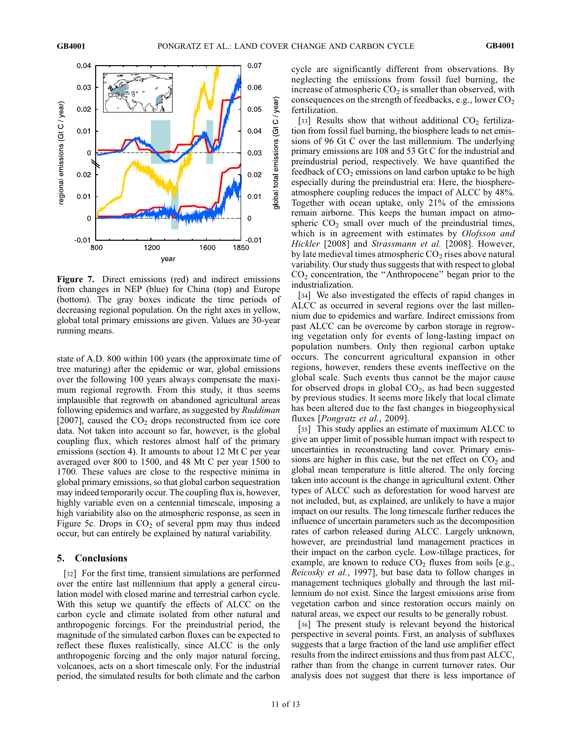

Figure 7. Direct emissions (red) and indirect emissions from changes in NEP (blue) for China (top) and Europe (bottom). The gray boxes indicate the time periods of decreasing regional population. On the right axes in yellow, global total primary emissions are given. Values are 30-year running means.

state of A.D. 800 within 100 years (the approximate time of tree maturing) after the epidemic or war, global emissions over the following 100 years always compensate the maximum regional regrowth. From this study, it thus seems implausible that regrowth on abandoned agricultural areas following epidemics and warfare, as suggested by Ruddiman [2007], caused the  $CO<sub>2</sub>$  drops reconstructed from ice core data. Not taken into account so far, however, is the global coupling flux, which restores almost half of the primary emissions (section 4). It amounts to about 12 Mt C per year averaged over 800 to 1500, and 48 Mt C per year 1500 to 1700. These values are close to the respective minima in global primary emissions, so that global carbon sequestration may indeed temporarily occur. The coupling flux is, however, highly variable even on a centennial timescale, imposing a high variability also on the atmospheric response, as seen in Figure 5c. Drops in  $CO<sub>2</sub>$  of several ppm may thus indeed occur, but can entirely be explained by natural variability.

## 5. Conclusions

[32] For the first time, transient simulations are performed over the entire last millennium that apply a general circulation model with closed marine and terrestrial carbon cycle. With this setup we quantify the effects of ALCC on the carbon cycle and climate isolated from other natural and anthropogenic forcings. For the preindustrial period, the magnitude of the simulated carbon fluxes can be expected to reflect these fluxes realistically, since ALCC is the only anthropogenic forcing and the only major natural forcing, volcanoes, acts on a short timescale only. For the industrial period, the simulated results for both climate and the carbon

cycle are significantly different from observations. By neglecting the emissions from fossil fuel burning, the increase of atmospheric  $CO<sub>2</sub>$  is smaller than observed, with consequences on the strength of feedbacks, e.g., lower  $CO<sub>2</sub>$ fertilization.

[33] Results show that without additional  $CO<sub>2</sub>$  fertilization from fossil fuel burning, the biosphere leads to net emissions of 96 Gt C over the last millennium. The underlying primary emissions are 108 and 53 Gt C for the industrial and preindustrial period, respectively. We have quantified the feedback of  $CO<sub>2</sub>$  emissions on land carbon uptake to be high especially during the preindustrial era: Here, the biosphereatmosphere coupling reduces the impact of ALCC by 48%. Together with ocean uptake, only 21% of the emissions remain airborne. This keeps the human impact on atmospheric  $CO<sub>2</sub>$  small over much of the preindustrial times, which is in agreement with estimates by *Olofsson and* Hickler [2008] and Strassmann et al. [2008]. However, by late medieval times atmospheric  $CO<sub>2</sub>$  rises above natural variability. Our study thus suggests that with respect to global CO2 concentration, the ''Anthropocene'' began prior to the industrialization.

[34] We also investigated the effects of rapid changes in ALCC as occurred in several regions over the last millennium due to epidemics and warfare. Indirect emissions from past ALCC can be overcome by carbon storage in regrowing vegetation only for events of long-lasting impact on population numbers. Only then regional carbon uptake occurs. The concurrent agricultural expansion in other regions, however, renders these events ineffective on the global scale. Such events thus cannot be the major cause for observed drops in global  $CO<sub>2</sub>$ , as had been suggested by previous studies. It seems more likely that local climate has been altered due to the fast changes in biogeophysical fluxes [Pongratz et al., 2009].

[35] This study applies an estimate of maximum ALCC to give an upper limit of possible human impact with respect to uncertainties in reconstructing land cover. Primary emissions are higher in this case, but the net effect on  $CO<sub>2</sub>$  and global mean temperature is little altered. The only forcing taken into account is the change in agricultural extent. Other types of ALCC such as deforestation for wood harvest are not included, but, as explained, are unlikely to have a major impact on our results. The long timescale further reduces the influence of uncertain parameters such as the decomposition rates of carbon released during ALCC. Largely unknown, however, are preindustrial land management practices in their impact on the carbon cycle. Low-tillage practices, for example, are known to reduce  $CO<sub>2</sub>$  fluxes from soils [e.g., Reicosky et al., 1997], but base data to follow changes in management techniques globally and through the last millennium do not exist. Since the largest emissions arise from vegetation carbon and since restoration occurs mainly on natural areas, we expect our results to be generally robust.

[36] The present study is relevant beyond the historical perspective in several points. First, an analysis of subfluxes suggests that a large fraction of the land use amplifier effect results from the indirect emissions and thus from past ALCC, rather than from the change in current turnover rates. Our analysis does not suggest that there is less importance of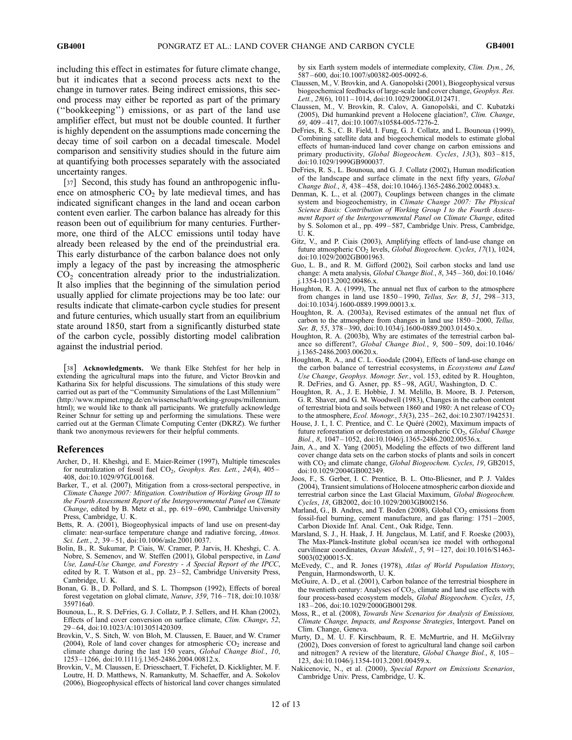including this effect in estimates for future climate change, but it indicates that a second process acts next to the change in turnover rates. Being indirect emissions, this second process may either be reported as part of the primary (''bookkeeping'') emissions, or as part of the land use amplifier effect, but must not be double counted. It further is highly dependent on the assumptions made concerning the decay time of soil carbon on a decadal timescale. Model comparison and sensitivity studies should in the future aim at quantifying both processes separately with the associated uncertainty ranges.

[37] Second, this study has found an anthropogenic influence on atmospheric  $CO<sub>2</sub>$  by late medieval times, and has indicated significant changes in the land and ocean carbon content even earlier. The carbon balance has already for this reason been out of equilibrium for many centuries. Furthermore, one third of the ALCC emissions until today have already been released by the end of the preindustrial era. This early disturbance of the carbon balance does not only imply a legacy of the past by increasing the atmospheric  $CO<sub>2</sub>$  concentration already prior to the industrialization. It also implies that the beginning of the simulation period usually applied for climate projections may be too late: our results indicate that climate-carbon cycle studies for present and future centuries, which usually start from an equilibrium state around 1850, start from a significantly disturbed state of the carbon cycle, possibly distorting model calibration against the industrial period.

[38] Acknowledgments. We thank Elke Stehfest for her help in extending the agricultural maps into the future, and Victor Brovkin and Katharina Six for helpful discussions. The simulations of this study were carried out as part of the ''Community Simulations of the Last Millennium'' (http://www.mpimet.mpg.de/en/wissenschaft/working-groups/millennium. html); we would like to thank all participants. We gratefully acknowledge Reiner Schnur for setting up and performing the simulations. These were carried out at the German Climate Computing Center (DKRZ). We further thank two anonymous reviewers for their helpful comments.

#### References

- Archer, D., H. Kheshgi, and E. Maier-Reimer (1997), Multiple timescales for neutralization of fossil fuel CO<sub>2</sub>, Geophys. Res. Lett., 24(4), 405 -408, doi:10.1029/97GL00168.
- Barker, T., et al. (2007), Mitigation from a cross-sectoral perspective, in Climate Change 2007: Mitigation. Contribution of Working Group III to the Fourth Assessment Report of the Intergovernmental Panel on Climate Change, edited by B. Metz et al., pp. 619 – 690, Cambridge University Press, Cambridge, U. K.
- Betts, R. A. (2001), Biogeophysical impacts of land use on present-day climate: near-surface temperature change and radiative forcing, Atmos. Sci. Lett., 2, 39–51, doi:10.1006/asle.2001.0037.
- Bolin, B., R. Sukumar, P. Ciais, W. Cramer, P. Jarvis, H. Kheshgi, C. A. Nobre, S. Semenov, and W. Steffen (2001), Global perspective, in Land Use, Land-Use Change, and Forestry - A Special Report of the IPCC, edited by R. T. Watson et al., pp.  $23 - 52$ , Cambridge University Press, Cambridge, U. K.
- Bonan, G. B., D. Pollard, and S. L. Thompson (1992), Effects of boreal forest vegetation on global climate, Nature, 359, 716 – 718, doi:10.1038/ 359716a0.
- Bounoua, L., R. S. DeFries, G. J. Collatz, P. J. Sellers, and H. Khan (2002), Effects of land cover conversion on surface climate, Clim. Change, 52, 29 – 64, doi:10.1023/A:1013051420309.
- Brovkin, V., S. Sitch, W. von Bloh, M. Claussen, E. Bauer, and W. Cramer (2004), Role of land cover changes for atmospheric  $CO<sub>2</sub>$  increase and climate change during the last 150 years, Global Change Biol., 10, 1253 – 1266, doi:10.1111/j.1365-2486.2004.00812.x.
- Brovkin, V., M. Claussen, E. Driesschaert, T. Fichefet, D. Kicklighter, M. F. Loutre, H. D. Matthews, N. Ramankutty, M. Schaeffer, and A. Sokolov (2006), Biogeophysical effects of historical land cover changes simulated

by six Earth system models of intermediate complexity, Clim. Dyn., 26, 587 – 600, doi:10.1007/s00382-005-0092-6.

- Claussen, M., V. Brovkin, and A. Ganopolski (2001), Biogeophysical versus biogeochemical feedbacks of large-scale land cover change, Geophys. Res. Lett., 28(6), 1011-1014, doi:10.1029/2000GL012471.
- Claussen, M., V. Brovkin, R. Calov, A. Ganopolski, and C. Kubatzki (2005), Did humankind prevent a Holocene glaciation?, Clim. Change,  $69, 409 - 417, \text{ doi: } 10.1007 \times 10584 - 005 - 7276 - 2.$
- DeFries, R. S., C. B. Field, I. Fung, G. J. Collatz, and L. Bounoua (1999), Combining satellite data and biogeochemical models to estimate global effects of human-induced land cover change on carbon emissions and primary productivity, Global Biogeochem. Cycles, 13(3), 803-815, doi:10.1029/1999GB900037.
- DeFries, R. S., L. Bounoua, and G. J. Collatz (2002), Human modification of the landscape and surface climate in the next fifty years, Global Change Biol., 8, 438 – 458, doi:10.1046/j.1365-2486.2002.00483.x.
- Denman, K. L., et al. (2007), Couplings between changes in the climate system and biogeochemistry, in Climate Change 2007: The Physical Science Basis: Contribution of Working Group I to the Fourth Assessment Report of the Intergovernmental Panel on Climate Change, edited by S. Solomon et al., pp. 499 – 587, Cambridge Univ. Press, Cambridge, U. K.
- Gitz, V., and P. Ciais (2003), Amplifying effects of land-use change on future atmospheric  $CO<sub>2</sub>$  levels, *Global Biogeochem. Cycles, 17*(1), 1024, doi:10.1029/2002GB001963.
- Guo, L. B., and R. M. Gifford (2002), Soil carbon stocks and land use change: A meta analysis, Global Change Biol., 8, 345 – 360, doi:10.1046/ j.1354-1013.2002.00486.x.
- Houghton, R. A. (1999), The annual net flux of carbon to the atmosphere from changes in land use 1850 – 1990, Tellus, Ser. B, 51, 298 – 313, doi:10.1034/j.1600-0889.1999.00013.x.
- Houghton, R. A. (2003a), Revised estimates of the annual net flux of carbon to the atmosphere from changes in land use 1850 – 2000, Tellus, Ser. B, 55, 378-390, doi:10.1034/j.1600-0889.2003.01450.x.
- Houghton, R. A. (2003b), Why are estimates of the terrestrial carbon balance so different?, Global Change Biol., 9, 500-509, doi:10.1046/ j.1365-2486.2003.00620.x.
- Houghton, R. A., and C. L. Goodale (2004), Effects of land-use change on the carbon balance of terrestrial ecosystems, in Ecosystems and Land Use Change, Geophys. Monogr. Ser., vol. 153, edited by R. Houghton, R. DeFries, and G. Asner, pp. 85 – 98, AGU, Washington, D. C.
- Houghton, R. A., J. E. Hobbie, J. M. Melillo, B. Moore, B. J. Peterson, G. R. Shaver, and G. M. Woodwell (1983), Changes in the carbon content of terrestrial biota and soils between 1860 and 1980: A net release of  $CO<sub>2</sub>$ to the atmosphere, Ecol. Monogr., 53(3), 235 – 262, doi:10.2307/1942531.
- House, J. I., I. C. Prentice, and C. Le Quéré (2002), Maximum impacts of future reforestation or deforestation on atmospheric  $CO<sub>2</sub>$ , Global Change Biol., 8, 1047 – 1052, doi:10.1046/j.1365-2486.2002.00536.x.
- Jain, A., and X. Yang (2005), Modeling the effects of two different land cover change data sets on the carbon stocks of plants and soils in concert with CO<sub>2</sub> and climate change, Global Biogeochem. Cycles, 19, GB2015, doi:10.1029/2004GB002349.
- Joos, F., S. Gerber, I. C. Prentice, B. L. Otto-Bliesner, and P. J. Valdes (2004), Transient simulations of Holocene atmospheric carbon dioxide and terrestrial carbon since the Last Glacial Maximum, Global Biogeochem. Cycles, 18, GB2002, doi:10.1029/2003GB002156.
- Marland, G., B. Andres, and T. Boden (2008), Global  $CO<sub>2</sub>$  emissions from fossil-fuel burning, cement manufacture, and gas flaring: 1751 – 2005, Carbon Dioxide Inf. Anal. Cent., Oak Ridge, Tenn.
- Marsland, S. J., H. Haak, J. H. Jungclaus, M. Latif, and F. Roeske (2003), The Max-Planck-Institute global ocean/sea ice model with orthogonal curvilinear coordinates, Ocean Modell., 5, 91-127, doi:10.1016/S1463-5003(02)00015-X.
- McEvedy, C., and R. Jones (1978), Atlas of World Population History, Penguin, Harmondsworth, U. K.
- McGuire, A. D., et al. (2001), Carbon balance of the terrestrial biosphere in the twentieth century: Analyses of CO<sub>2</sub>, climate and land use effects with four process-based ecosystem models, Global Biogeochem. Cycles, 15, 183 – 206, doi:10.1029/2000GB001298.
- Moss, R., et al. (2008), Towards New Scenarios for Analysis of Emissions, Climate Change, Impacts, and Response Strategies, Intergovt. Panel on Clim. Change, Geneva.
- Murty, D., M. U. F. Kirschbaum, R. E. McMurtrie, and H. McGilvray (2002), Does conversion of forest to agricultural land change soil carbon and nitrogen? A review of the literature, Global Change Biol., 8, 105 -123, doi:10.1046/j.1354-1013.2001.00459.x.
- Nakicenovic, N., et al. (2000), Special Report on Emissions Scenarios, Cambridge Univ. Press, Cambridge, U. K.